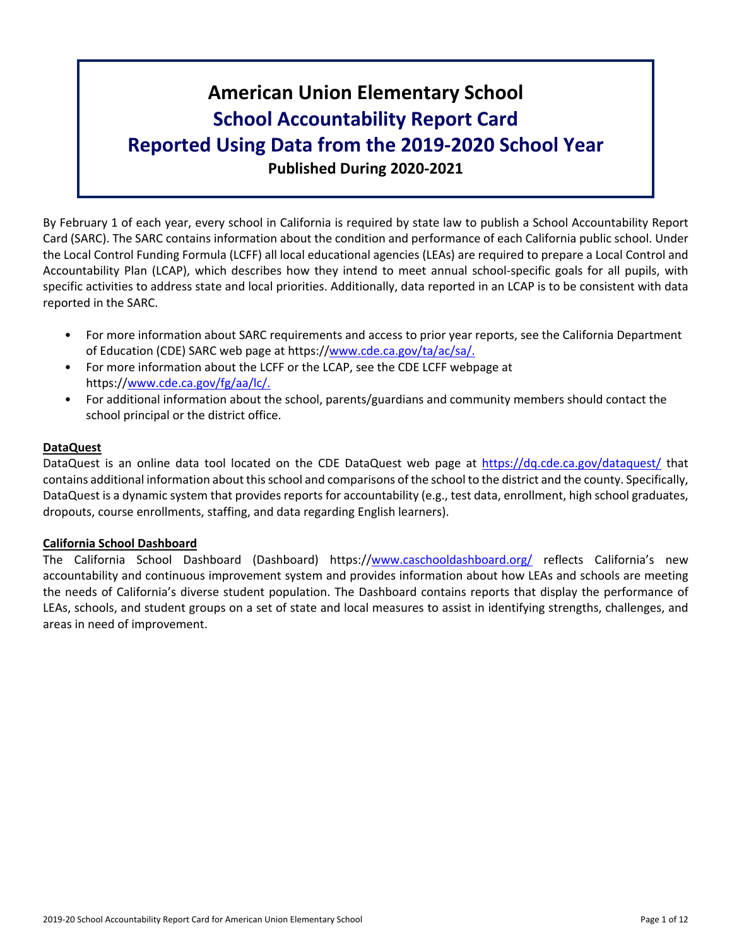# **American Union Elementary School School Accountability Report Card Reported Using Data from the 2019-2020 School Year Published During 2020-2021**

By February 1 of each year, every school in California is required by state law to publish a School Accountability Report Card (SARC). The SARC contains information about the condition and performance of each California public school. Under the Local Control Funding Formula (LCFF) all local educational agencies (LEAs) are required to prepare a Local Control and Accountability Plan (LCAP), which describes how they intend to meet annual school-specific goals for all pupils, with specific activities to address state and local priorities. Additionally, data reported in an LCAP is to be consistent with data reported in the SARC.

- For more information about SARC requirements and access to prior year reports, see the California Department of Education (CDE) SARC web page at https://[www.cde.ca.gov/ta/ac/sa/.](https://www.cde.ca.gov/ta/ac/sa/)
- For more information about the LCFF or the LCAP, see the CDE LCFF webpage at https://[www.cde.ca.gov/fg/aa/lc/.](https://www.cde.ca.gov/fg/aa/lc/)
- For additional information about the school, parents/guardians and community members should contact the school principal or the district office.

## **DataQuest**

DataQuest is an online data tool located on the CDE DataQuest web page at <https://dq.cde.ca.gov/dataquest/> that contains additional information about thisschool and comparisons of the school to the district and the county. Specifically, DataQuest is a dynamic system that provides reports for accountability (e.g., test data, enrollment, high school graduates, dropouts, course enrollments, staffing, and data regarding English learners).

#### **California School Dashboard**

The California School Dashboard (Dashboard) https://[www.caschooldashboard.org/](https://www.caschooldashboard.org/) reflects California's new accountability and continuous improvement system and provides information about how LEAs and schools are meeting the needs of California's diverse student population. The Dashboard contains reports that display the performance of LEAs, schools, and student groups on a set of state and local measures to assist in identifying strengths, challenges, and areas in need of improvement.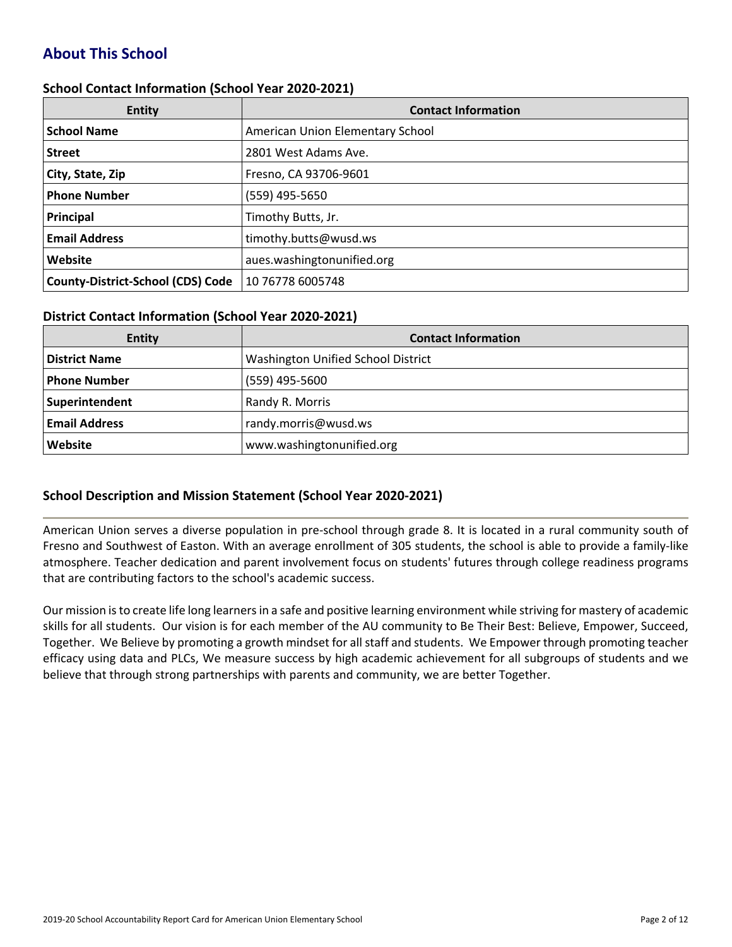# **About This School**

#### **School Contact Information (School Year 2020-2021)**

| <b>Entity</b>                            | <b>Contact Information</b>       |
|------------------------------------------|----------------------------------|
| <b>School Name</b>                       | American Union Elementary School |
| <b>Street</b>                            | 2801 West Adams Ave.             |
| City, State, Zip                         | Fresno, CA 93706-9601            |
| <b>Phone Number</b>                      | (559) 495-5650                   |
| Principal                                | Timothy Butts, Jr.               |
| <b>Email Address</b>                     | timothy.butts@wusd.ws            |
| Website                                  | aues.washingtonunified.org       |
| <b>County-District-School (CDS) Code</b> | 10 76778 6005748                 |

#### **District Contact Information (School Year 2020-2021)**

| Entity               | <b>Contact Information</b>         |  |  |  |  |
|----------------------|------------------------------------|--|--|--|--|
| <b>District Name</b> | Washington Unified School District |  |  |  |  |
| <b>Phone Number</b>  | (559) 495-5600                     |  |  |  |  |
| Superintendent       | Randy R. Morris                    |  |  |  |  |
| <b>Email Address</b> | randy.morris@wusd.ws               |  |  |  |  |
| Website              | www.washingtonunified.org          |  |  |  |  |

## **School Description and Mission Statement (School Year 2020-2021)**

American Union serves a diverse population in pre-school through grade 8. It is located in a rural community south of Fresno and Southwest of Easton. With an average enrollment of 305 students, the school is able to provide a family-like atmosphere. Teacher dedication and parent involvement focus on students' futures through college readiness programs that are contributing factors to the school's academic success.

Our mission isto create life long learnersin a safe and positive learning environment while striving for mastery of academic skills for all students. Our vision is for each member of the AU community to Be Their Best: Believe, Empower, Succeed, Together. We Believe by promoting a growth mindset for all staff and students. We Empower through promoting teacher efficacy using data and PLCs, We measure success by high academic achievement for all subgroups of students and we believe that through strong partnerships with parents and community, we are better Together.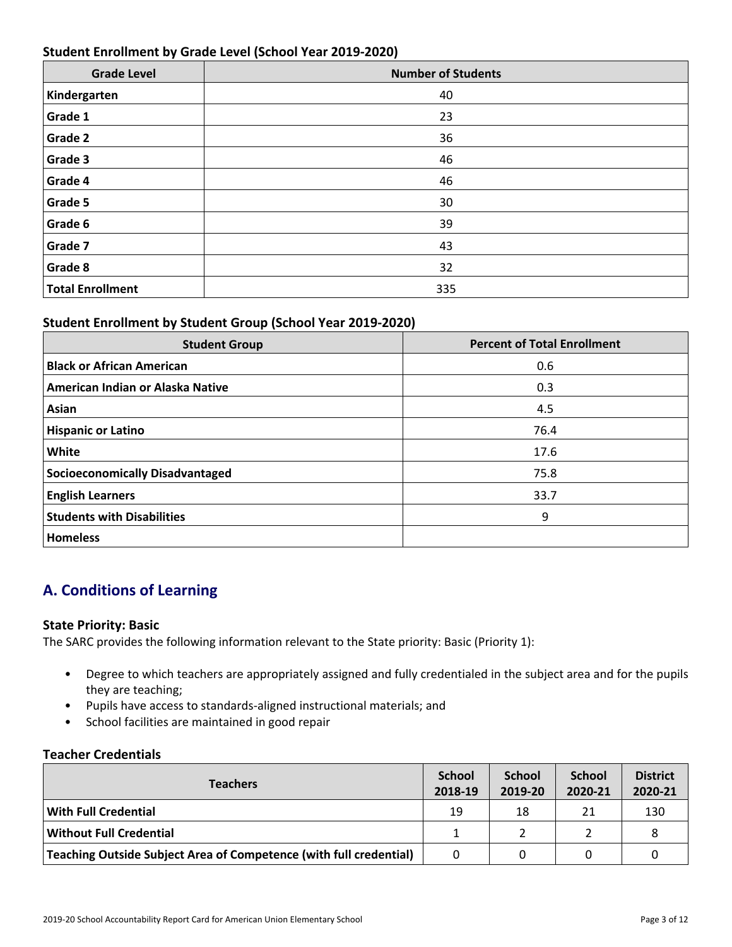## **Student Enrollment by Grade Level (School Year 2019-2020)**

| <b>Grade Level</b>      | <b>Number of Students</b> |
|-------------------------|---------------------------|
| Kindergarten            | 40                        |
| Grade 1                 | 23                        |
| Grade 2                 | 36                        |
| Grade 3                 | 46                        |
| Grade 4                 | 46                        |
| Grade 5                 | 30                        |
| Grade 6                 | 39                        |
| Grade 7                 | 43                        |
| Grade 8                 | 32                        |
| <b>Total Enrollment</b> | 335                       |

## **Student Enrollment by Student Group (School Year 2019-2020)**

| <b>Student Group</b>                   | <b>Percent of Total Enrollment</b> |
|----------------------------------------|------------------------------------|
| <b>Black or African American</b>       | 0.6                                |
| American Indian or Alaska Native       | 0.3                                |
| Asian                                  | 4.5                                |
| <b>Hispanic or Latino</b>              | 76.4                               |
| White                                  | 17.6                               |
| <b>Socioeconomically Disadvantaged</b> | 75.8                               |
| <b>English Learners</b>                | 33.7                               |
| <b>Students with Disabilities</b>      | 9                                  |
| <b>Homeless</b>                        |                                    |

# **A. Conditions of Learning**

#### **State Priority: Basic**

The SARC provides the following information relevant to the State priority: Basic (Priority 1):

- Degree to which teachers are appropriately assigned and fully credentialed in the subject area and for the pupils they are teaching;
- Pupils have access to standards-aligned instructional materials; and
- School facilities are maintained in good repair

#### **Teacher Credentials**

| <b>Teachers</b>                                                           |    | <b>School</b><br>2019-20 | <b>School</b><br>2020-21 | <b>District</b><br>2020-21 |
|---------------------------------------------------------------------------|----|--------------------------|--------------------------|----------------------------|
| <b>With Full Credential</b>                                               | 19 | 18                       | 21                       | 130                        |
| <b>Without Full Credential</b>                                            |    |                          |                          |                            |
| <b>Teaching Outside Subject Area of Competence (with full credential)</b> |    |                          |                          |                            |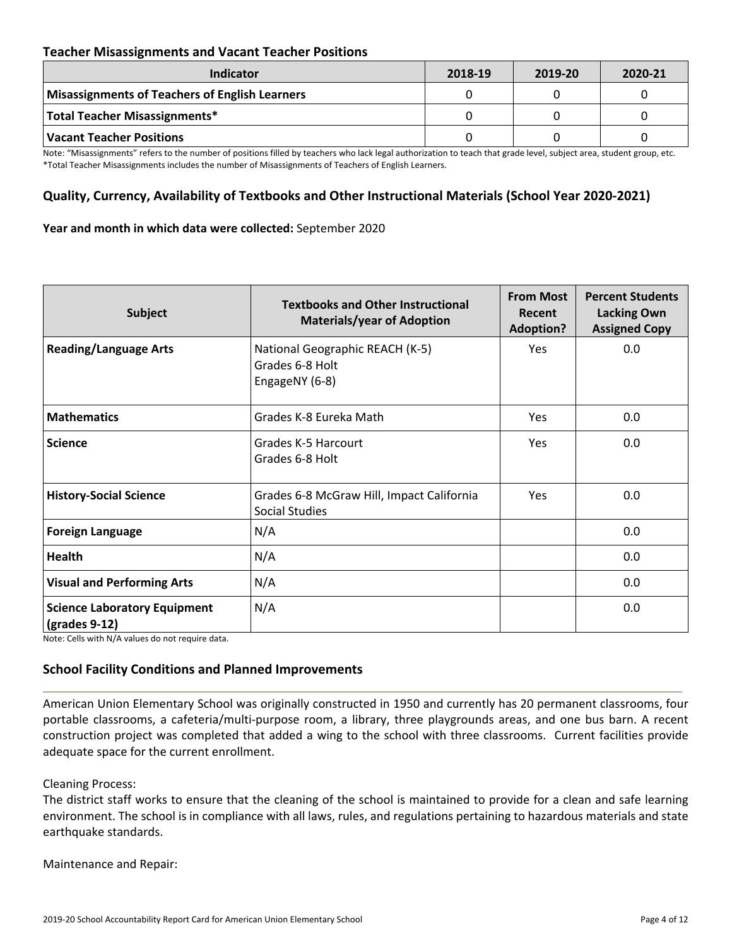## **Teacher Misassignments and Vacant Teacher Positions**

| <b>Indicator</b>                               | 2018-19 | 2019-20 | 2020-21 |
|------------------------------------------------|---------|---------|---------|
| Misassignments of Teachers of English Learners |         |         |         |
| Total Teacher Misassignments*                  |         |         |         |
| Vacant Teacher Positions                       |         |         |         |

Note: "Misassignments" refers to the number of positions filled by teachers who lack legal authorization to teach that grade level, subject area, student group, etc. \*Total Teacher Misassignments includes the number of Misassignments of Teachers of English Learners.

## **Quality, Currency, Availability of Textbooks and Other Instructional Materials (School Year 2020-2021)**

#### **Year and month in which data were collected:** September 2020

| Subject                                                                                               | <b>Textbooks and Other Instructional</b><br><b>Materials/year of Adoption</b> | <b>From Most</b><br>Recent<br><b>Adoption?</b> | <b>Percent Students</b><br><b>Lacking Own</b><br><b>Assigned Copy</b> |
|-------------------------------------------------------------------------------------------------------|-------------------------------------------------------------------------------|------------------------------------------------|-----------------------------------------------------------------------|
| <b>Reading/Language Arts</b>                                                                          | National Geographic REACH (K-5)<br>Grades 6-8 Holt<br>EngageNY (6-8)          | Yes                                            | 0.0                                                                   |
| <b>Mathematics</b>                                                                                    | Grades K-8 Eureka Math                                                        | <b>Yes</b>                                     | 0.0                                                                   |
| <b>Science</b>                                                                                        | Grades K-5 Harcourt<br>Grades 6-8 Holt                                        | <b>Yes</b>                                     | 0.0                                                                   |
| <b>History-Social Science</b>                                                                         | Grades 6-8 McGraw Hill, Impact California<br><b>Social Studies</b>            | <b>Yes</b>                                     | 0.0                                                                   |
| <b>Foreign Language</b>                                                                               | N/A                                                                           |                                                | 0.0                                                                   |
| <b>Health</b>                                                                                         | N/A                                                                           |                                                | 0.0                                                                   |
| <b>Visual and Performing Arts</b>                                                                     | N/A                                                                           |                                                | 0.0                                                                   |
| <b>Science Laboratory Equipment</b><br>$\left(\frac{\text{grades } 9 - 12}{\text{grades } 12}\right)$ | N/A                                                                           |                                                | 0.0                                                                   |

Note: Cells with N/A values do not require data.

#### **School Facility Conditions and Planned Improvements**

American Union Elementary School was originally constructed in 1950 and currently has 20 permanent classrooms, four portable classrooms, a cafeteria/multi-purpose room, a library, three playgrounds areas, and one bus barn. A recent construction project was completed that added a wing to the school with three classrooms. Current facilities provide adequate space for the current enrollment.

#### Cleaning Process:

The district staff works to ensure that the cleaning of the school is maintained to provide for a clean and safe learning environment. The school is in compliance with all laws, rules, and regulations pertaining to hazardous materials and state earthquake standards.

Maintenance and Repair: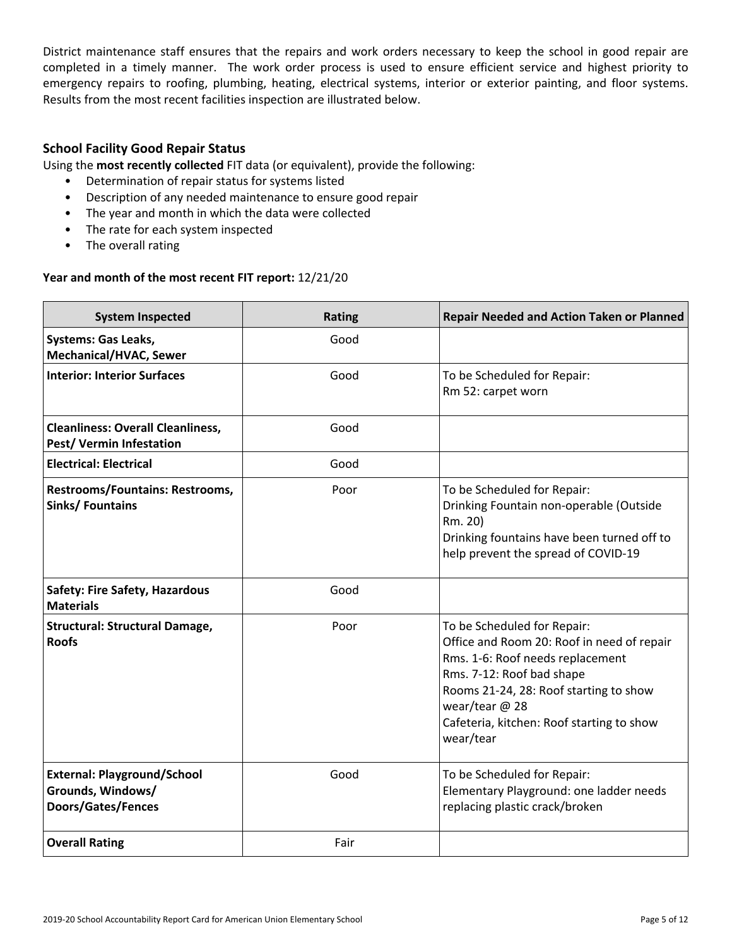District maintenance staff ensures that the repairs and work orders necessary to keep the school in good repair are completed in a timely manner. The work order process is used to ensure efficient service and highest priority to emergency repairs to roofing, plumbing, heating, electrical systems, interior or exterior painting, and floor systems. Results from the most recent facilities inspection are illustrated below.

## **School Facility Good Repair Status**

Using the **most recently collected** FIT data (or equivalent), provide the following:

- Determination of repair status for systems listed
- Description of any needed maintenance to ensure good repair
- The year and month in which the data were collected
- The rate for each system inspected
- The overall rating

#### **Year and month of the most recent FIT report:** 12/21/20

| <b>System Inspected</b>                                                              | <b>Rating</b> | <b>Repair Needed and Action Taken or Planned</b>                                                                                                                                                                                                                 |
|--------------------------------------------------------------------------------------|---------------|------------------------------------------------------------------------------------------------------------------------------------------------------------------------------------------------------------------------------------------------------------------|
| <b>Systems: Gas Leaks,</b><br>Mechanical/HVAC, Sewer                                 | Good          |                                                                                                                                                                                                                                                                  |
| <b>Interior: Interior Surfaces</b>                                                   | Good          | To be Scheduled for Repair:<br>Rm 52: carpet worn                                                                                                                                                                                                                |
| <b>Cleanliness: Overall Cleanliness,</b><br>Pest/ Vermin Infestation                 | Good          |                                                                                                                                                                                                                                                                  |
| <b>Electrical: Electrical</b>                                                        | Good          |                                                                                                                                                                                                                                                                  |
| <b>Restrooms/Fountains: Restrooms,</b><br><b>Sinks/ Fountains</b>                    | Poor          | To be Scheduled for Repair:<br>Drinking Fountain non-operable (Outside<br>Rm. 20)<br>Drinking fountains have been turned off to<br>help prevent the spread of COVID-19                                                                                           |
| Safety: Fire Safety, Hazardous<br><b>Materials</b>                                   | Good          |                                                                                                                                                                                                                                                                  |
| <b>Structural: Structural Damage,</b><br><b>Roofs</b>                                | Poor          | To be Scheduled for Repair:<br>Office and Room 20: Roof in need of repair<br>Rms. 1-6: Roof needs replacement<br>Rms. 7-12: Roof bad shape<br>Rooms 21-24, 28: Roof starting to show<br>wear/tear @ 28<br>Cafeteria, kitchen: Roof starting to show<br>wear/tear |
| <b>External: Playground/School</b><br>Grounds, Windows/<br><b>Doors/Gates/Fences</b> | Good          | To be Scheduled for Repair:<br>Elementary Playground: one ladder needs<br>replacing plastic crack/broken                                                                                                                                                         |
| <b>Overall Rating</b>                                                                | Fair          |                                                                                                                                                                                                                                                                  |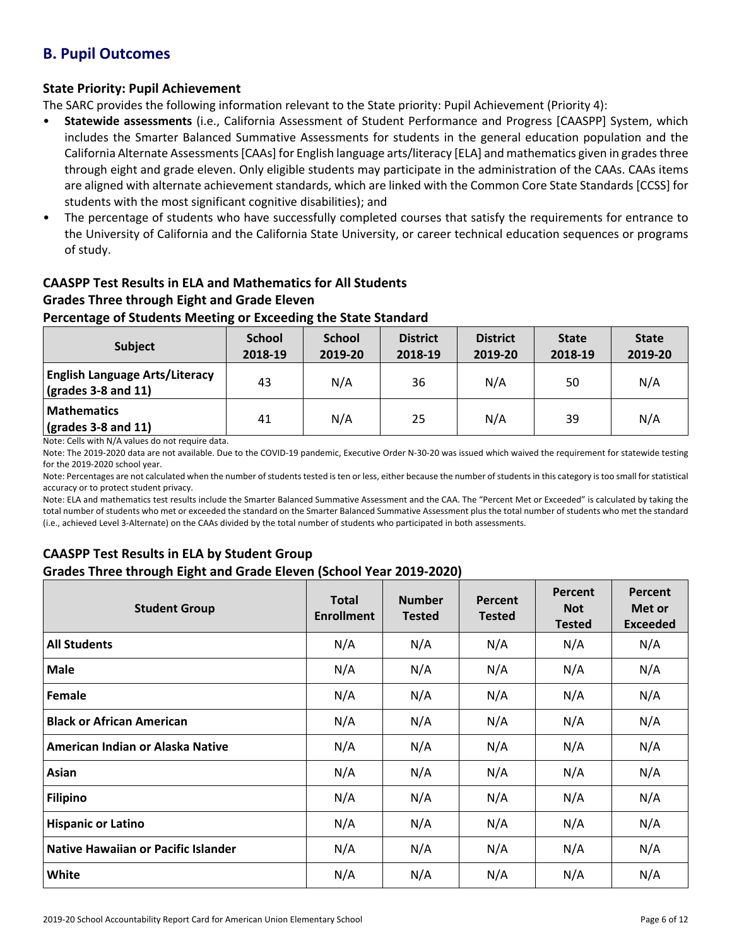# **B. Pupil Outcomes**

## **State Priority: Pupil Achievement**

The SARC provides the following information relevant to the State priority: Pupil Achievement (Priority 4):

- **Statewide assessments** (i.e., California Assessment of Student Performance and Progress [CAASPP] System, which includes the Smarter Balanced Summative Assessments for students in the general education population and the California Alternate Assessments [CAAs] for English language arts/literacy [ELA] and mathematics given in grades three through eight and grade eleven. Only eligible students may participate in the administration of the CAAs. CAAs items are aligned with alternate achievement standards, which are linked with the Common Core State Standards [CCSS] for students with the most significant cognitive disabilities); and
- The percentage of students who have successfully completed courses that satisfy the requirements for entrance to the University of California and the California State University, or career technical education sequences or programs of study.

## **CAASPP Test Results in ELA and Mathematics for All Students Grades Three through Eight and Grade Eleven**

## **Percentage of Students Meeting or Exceeding the State Standard**

| <b>Subject</b>                                                                    | <b>School</b><br>2018-19 | <b>School</b><br>2019-20 | <b>District</b><br>2018-19 | <b>District</b><br>2019-20 | <b>State</b><br>2018-19 | <b>State</b><br>2019-20 |
|-----------------------------------------------------------------------------------|--------------------------|--------------------------|----------------------------|----------------------------|-------------------------|-------------------------|
| <b>English Language Arts/Literacy</b><br>$\left(\text{grades }3-8\right)$ and 11) | 43                       | N/A                      | 36                         | N/A                        | 50                      | N/A                     |
| <b>Mathematics</b><br>$\sqrt{grades}$ 3-8 and 11)                                 | 41                       | N/A                      | 25                         | N/A                        | 39                      | N/A                     |

Note: Cells with N/A values do not require data.

Note: The 2019-2020 data are not available. Due to the COVID-19 pandemic, Executive Order N-30-20 was issued which waived the requirement for statewide testing for the 2019-2020 school year.

Note: Percentages are not calculated when the number of students tested is ten or less, either because the number of students in this category is too small for statistical accuracy or to protect student privacy.

Note: ELA and mathematics test results include the Smarter Balanced Summative Assessment and the CAA. The "Percent Met or Exceeded" is calculated by taking the total number of students who met or exceeded the standard on the Smarter Balanced Summative Assessment plus the total number of students who met the standard (i.e., achieved Level 3-Alternate) on the CAAs divided by the total number of students who participated in both assessments.

## **CAASPP Test Results in ELA by Student Group Grades Three through Eight and Grade Eleven (School Year 2019-2020)**

| <b>Student Group</b>                       | <b>Total</b><br><b>Enrollment</b> | <b>Number</b><br><b>Tested</b> | Percent<br><b>Tested</b> | Percent<br><b>Not</b><br><b>Tested</b> | Percent<br>Met or<br><b>Exceeded</b> |
|--------------------------------------------|-----------------------------------|--------------------------------|--------------------------|----------------------------------------|--------------------------------------|
| <b>All Students</b>                        | N/A                               | N/A                            | N/A                      | N/A                                    | N/A                                  |
| <b>Male</b>                                | N/A                               | N/A                            | N/A                      | N/A                                    | N/A                                  |
| Female                                     | N/A                               | N/A                            | N/A                      | N/A                                    | N/A                                  |
| <b>Black or African American</b>           | N/A                               | N/A                            | N/A                      | N/A                                    | N/A                                  |
| American Indian or Alaska Native           | N/A                               | N/A                            | N/A                      | N/A                                    | N/A                                  |
| Asian                                      | N/A                               | N/A                            | N/A                      | N/A                                    | N/A                                  |
| <b>Filipino</b>                            | N/A                               | N/A                            | N/A                      | N/A                                    | N/A                                  |
| <b>Hispanic or Latino</b>                  | N/A                               | N/A                            | N/A                      | N/A                                    | N/A                                  |
| <b>Native Hawaiian or Pacific Islander</b> | N/A                               | N/A                            | N/A                      | N/A                                    | N/A                                  |
| White                                      | N/A                               | N/A                            | N/A                      | N/A                                    | N/A                                  |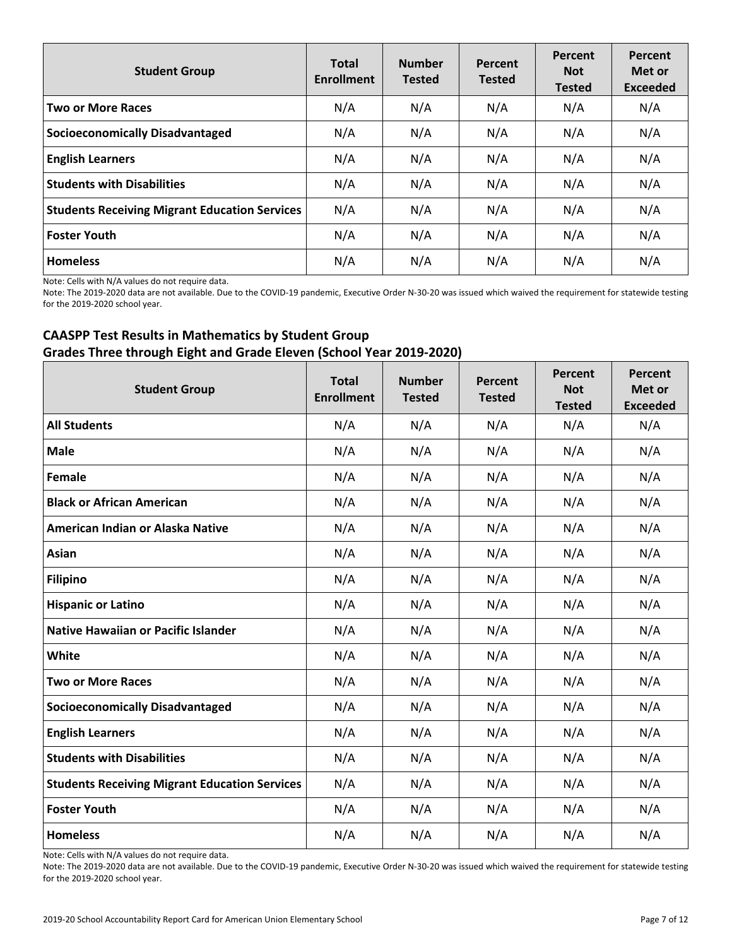| <b>Student Group</b>                                 | <b>Total</b><br><b>Enrollment</b> | <b>Number</b><br><b>Tested</b> | Percent<br><b>Tested</b> | Percent<br><b>Not</b><br><b>Tested</b> | Percent<br>Met or<br><b>Exceeded</b> |
|------------------------------------------------------|-----------------------------------|--------------------------------|--------------------------|----------------------------------------|--------------------------------------|
| <b>Two or More Races</b>                             | N/A                               | N/A                            | N/A                      | N/A                                    | N/A                                  |
| <b>Socioeconomically Disadvantaged</b>               | N/A                               | N/A                            | N/A                      | N/A                                    | N/A                                  |
| <b>English Learners</b>                              | N/A                               | N/A                            | N/A                      | N/A                                    | N/A                                  |
| <b>Students with Disabilities</b>                    | N/A                               | N/A                            | N/A                      | N/A                                    | N/A                                  |
| <b>Students Receiving Migrant Education Services</b> | N/A                               | N/A                            | N/A                      | N/A                                    | N/A                                  |
| <b>Foster Youth</b>                                  | N/A                               | N/A                            | N/A                      | N/A                                    | N/A                                  |
| <b>Homeless</b>                                      | N/A                               | N/A                            | N/A                      | N/A                                    | N/A                                  |

Note: Cells with N/A values do not require data.

Note: The 2019-2020 data are not available. Due to the COVID-19 pandemic, Executive Order N-30-20 was issued which waived the requirement for statewide testing for the 2019-2020 school year.

## **CAASPP Test Results in Mathematics by Student Group Grades Three through Eight and Grade Eleven (School Year 2019-2020)**

| <b>Student Group</b>                                 | <b>Total</b><br><b>Enrollment</b> | <b>Number</b><br><b>Tested</b> | Percent<br><b>Tested</b> | Percent<br><b>Not</b><br><b>Tested</b> | Percent<br>Met or<br><b>Exceeded</b> |
|------------------------------------------------------|-----------------------------------|--------------------------------|--------------------------|----------------------------------------|--------------------------------------|
| <b>All Students</b>                                  | N/A                               | N/A                            | N/A                      | N/A                                    | N/A                                  |
| <b>Male</b>                                          | N/A                               | N/A                            | N/A                      | N/A                                    | N/A                                  |
| Female                                               | N/A                               | N/A                            | N/A                      | N/A                                    | N/A                                  |
| <b>Black or African American</b>                     | N/A                               | N/A                            | N/A                      | N/A                                    | N/A                                  |
| American Indian or Alaska Native                     | N/A                               | N/A                            | N/A                      | N/A                                    | N/A                                  |
| Asian                                                | N/A                               | N/A                            | N/A                      | N/A                                    | N/A                                  |
| <b>Filipino</b>                                      | N/A                               | N/A                            | N/A                      | N/A                                    | N/A                                  |
| <b>Hispanic or Latino</b>                            | N/A                               | N/A                            | N/A                      | N/A                                    | N/A                                  |
| <b>Native Hawaiian or Pacific Islander</b>           | N/A                               | N/A                            | N/A                      | N/A                                    | N/A                                  |
| White                                                | N/A                               | N/A                            | N/A                      | N/A                                    | N/A                                  |
| <b>Two or More Races</b>                             | N/A                               | N/A                            | N/A                      | N/A                                    | N/A                                  |
| <b>Socioeconomically Disadvantaged</b>               | N/A                               | N/A                            | N/A                      | N/A                                    | N/A                                  |
| <b>English Learners</b>                              | N/A                               | N/A                            | N/A                      | N/A                                    | N/A                                  |
| <b>Students with Disabilities</b>                    | N/A                               | N/A                            | N/A                      | N/A                                    | N/A                                  |
| <b>Students Receiving Migrant Education Services</b> | N/A                               | N/A                            | N/A                      | N/A                                    | N/A                                  |
| <b>Foster Youth</b>                                  | N/A                               | N/A                            | N/A                      | N/A                                    | N/A                                  |
| <b>Homeless</b>                                      | N/A                               | N/A                            | N/A                      | N/A                                    | N/A                                  |

Note: Cells with N/A values do not require data.

Note: The 2019-2020 data are not available. Due to the COVID-19 pandemic, Executive Order N-30-20 was issued which waived the requirement for statewide testing for the 2019-2020 school year.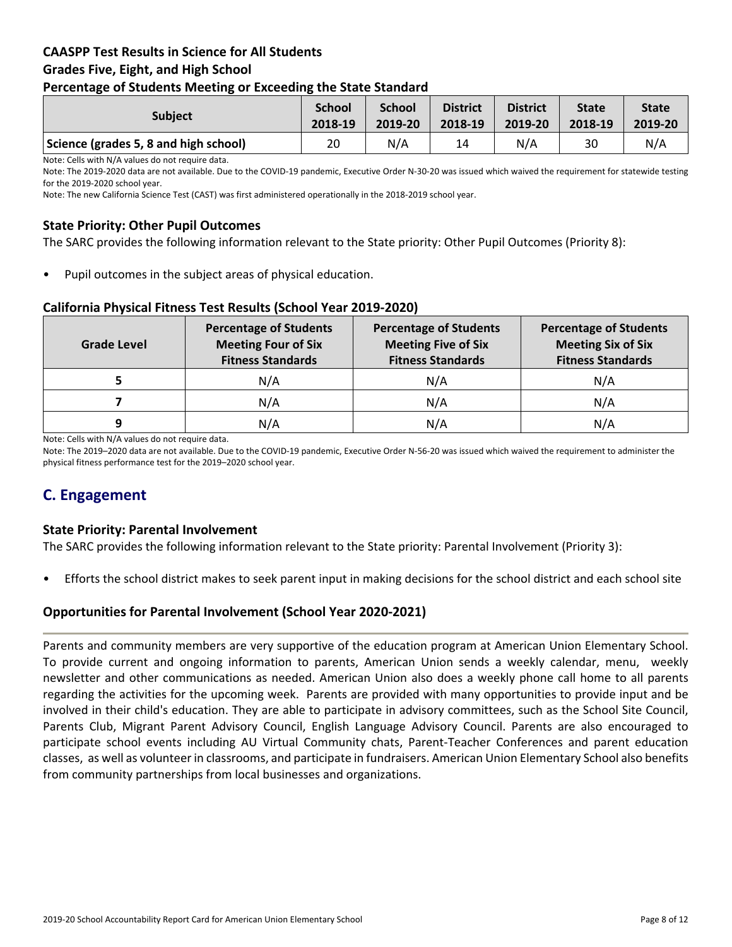## **CAASPP Test Results in Science for All Students Grades Five, Eight, and High School Percentage of Students Meeting or Exceeding the State Standard**

| . .                                   |                          |                          |                            |                            |                         |                         |
|---------------------------------------|--------------------------|--------------------------|----------------------------|----------------------------|-------------------------|-------------------------|
| <b>Subject</b>                        | <b>School</b><br>2018-19 | <b>School</b><br>2019-20 | <b>District</b><br>2018-19 | <b>District</b><br>2019-20 | <b>State</b><br>2018-19 | <b>State</b><br>2019-20 |
| Science (grades 5, 8 and high school) | 20                       | N/A                      | 14                         | N/A                        | 30                      | N/A                     |

Note: Cells with N/A values do not require data.

Note: The 2019-2020 data are not available. Due to the COVID-19 pandemic, Executive Order N-30-20 was issued which waived the requirement for statewide testing for the 2019-2020 school year.

Note: The new California Science Test (CAST) was first administered operationally in the 2018-2019 school year.

## **State Priority: Other Pupil Outcomes**

The SARC provides the following information relevant to the State priority: Other Pupil Outcomes (Priority 8):

Pupil outcomes in the subject areas of physical education.

#### **California Physical Fitness Test Results (School Year 2019-2020)**

| Grade Level | <b>Percentage of Students</b><br><b>Meeting Four of Six</b><br><b>Fitness Standards</b> | <b>Percentage of Students</b><br><b>Meeting Five of Six</b><br><b>Fitness Standards</b> | <b>Percentage of Students</b><br><b>Meeting Six of Six</b><br><b>Fitness Standards</b> |  |
|-------------|-----------------------------------------------------------------------------------------|-----------------------------------------------------------------------------------------|----------------------------------------------------------------------------------------|--|
|             | N/A                                                                                     | N/A                                                                                     | N/A                                                                                    |  |
|             | N/A                                                                                     | N/A                                                                                     | N/A                                                                                    |  |
| q           | N/A                                                                                     | N/A                                                                                     | N/A                                                                                    |  |

Note: Cells with N/A values do not require data.

Note: The 2019–2020 data are not available. Due to the COVID-19 pandemic, Executive Order N-56-20 was issued which waived the requirement to administer the physical fitness performance test for the 2019–2020 school year.

# **C. Engagement**

#### **State Priority: Parental Involvement**

The SARC provides the following information relevant to the State priority: Parental Involvement (Priority 3):

• Efforts the school district makes to seek parent input in making decisions for the school district and each school site

#### **Opportunities for Parental Involvement (School Year 2020-2021)**

Parents and community members are very supportive of the education program at American Union Elementary School. To provide current and ongoing information to parents, American Union sends a weekly calendar, menu, weekly newsletter and other communications as needed. American Union also does a weekly phone call home to all parents regarding the activities for the upcoming week. Parents are provided with many opportunities to provide input and be involved in their child's education. They are able to participate in advisory committees, such as the School Site Council, Parents Club, Migrant Parent Advisory Council, English Language Advisory Council. Parents are also encouraged to participate school events including AU Virtual Community chats, Parent-Teacher Conferences and parent education classes, as well as volunteer in classrooms, and participate in fundraisers. American Union Elementary School also benefits from community partnerships from local businesses and organizations.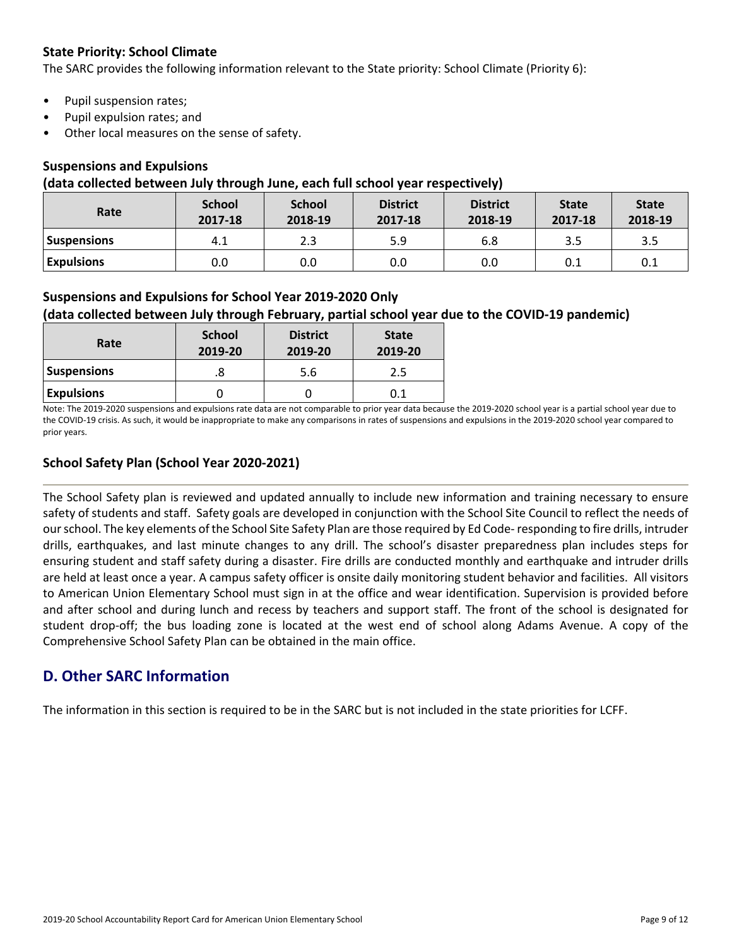## **State Priority: School Climate**

The SARC provides the following information relevant to the State priority: School Climate (Priority 6):

- Pupil suspension rates;
- Pupil expulsion rates; and
- Other local measures on the sense of safety.

## **Suspensions and Expulsions**

#### **(data collected between July through June, each full school year respectively)**

| Rate               | <b>School</b><br>2017-18 | <b>School</b><br>2018-19 | <b>District</b><br>2017-18 | <b>District</b><br>2018-19 | <b>State</b><br>2017-18 | <b>State</b><br>2018-19 |
|--------------------|--------------------------|--------------------------|----------------------------|----------------------------|-------------------------|-------------------------|
| <b>Suspensions</b> | 4.1                      | 2.3                      | 5.9                        | 6.8                        | 3.5                     | 3.5                     |
| <b>Expulsions</b>  | 0.0                      | 0.0                      | 0.0                        | 0.0                        | 0.1                     | 0.1                     |

## **Suspensions and Expulsions for School Year 2019-2020 Only**

## **(data collected between July through February, partial school year due to the COVID-19 pandemic)**

| Rate               | <b>School</b><br>2019-20 | <b>District</b><br>2019-20 | <b>State</b><br>2019-20 |  |
|--------------------|--------------------------|----------------------------|-------------------------|--|
| <b>Suspensions</b> | 8.                       | 5.6                        | 2.5                     |  |
| <b>Expulsions</b>  |                          |                            | 0.1                     |  |

Note: The 2019-2020 suspensions and expulsions rate data are not comparable to prior year data because the 2019-2020 school year is a partial school year due to the COVID-19 crisis. As such, it would be inappropriate to make any comparisons in rates of suspensions and expulsions in the 2019-2020 school year compared to prior years.

## **School Safety Plan (School Year 2020-2021)**

The School Safety plan is reviewed and updated annually to include new information and training necessary to ensure safety of students and staff. Safety goals are developed in conjunction with the School Site Council to reflect the needs of ourschool. The key elements of the School Site Safety Plan are those required by Ed Code-responding to fire drills, intruder drills, earthquakes, and last minute changes to any drill. The school's disaster preparedness plan includes steps for ensuring student and staff safety during a disaster. Fire drills are conducted monthly and earthquake and intruder drills are held at least once a year. A campus safety officer is onsite daily monitoring student behavior and facilities. All visitors to American Union Elementary School must sign in at the office and wear identification. Supervision is provided before and after school and during lunch and recess by teachers and support staff. The front of the school is designated for student drop-off; the bus loading zone is located at the west end of school along Adams Avenue. A copy of the Comprehensive School Safety Plan can be obtained in the main office.

# **D. Other SARC Information**

The information in this section is required to be in the SARC but is not included in the state priorities for LCFF.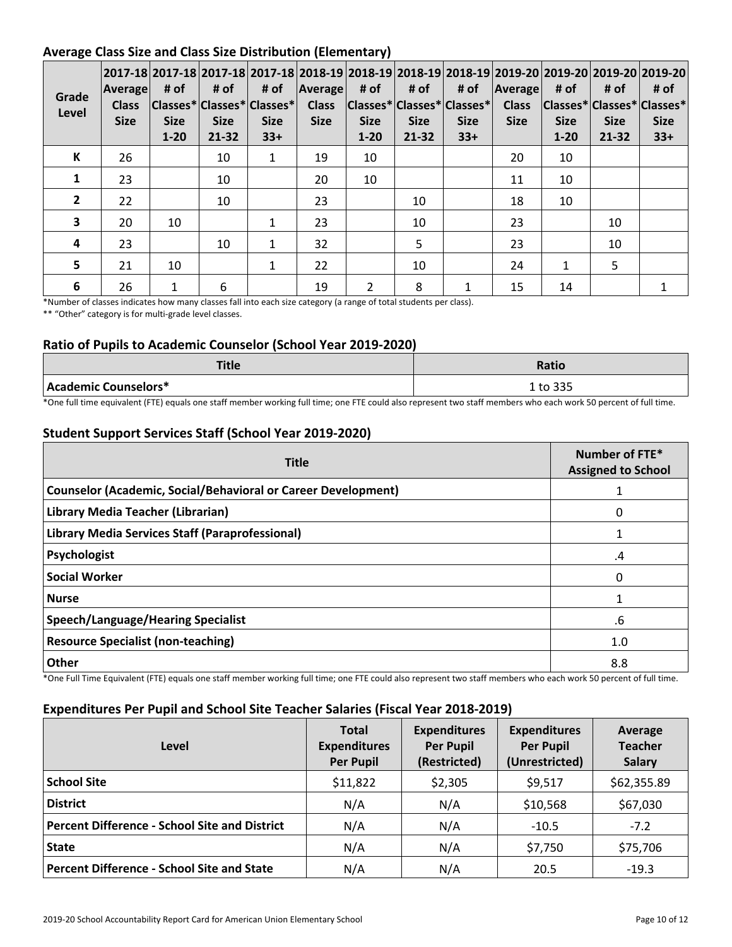## **Average Class Size and Class Size Distribution (Elementary)**

| Grade<br>Level | Average <br><b>Class</b><br><b>Size</b> | # of<br><b>Size</b><br>$1 - 20$ | # of<br><b>Size</b><br>$21 - 32$ | 2017-18  2017-18  2017-18  2017-18  2018-19  2018-19  2018-19  2018-19  2019-20  2019-20  2019-20  2019-20  <br>$ {\sf Classes}^* {\sf Classes}^* {\sf Classes}^* $<br><b>Size</b><br>$33+$ | <b>Size</b> | # of $ A$ verage # of $ $ # of<br><b>Size</b><br>$1 - 20$ | <b>Size</b><br>$21 - 32$ | Class   Classes*   Classes*   Classes*  <br><b>Size</b><br>$33+$ | # of $ A$ verage<br><b>Class</b><br><b>Size</b> | # of<br> Classes* Classes* Classes*<br><b>Size</b><br>$1 - 20$ | # of<br><b>Size</b><br>21-32 | # of<br><b>Size</b><br>$33+$ |
|----------------|-----------------------------------------|---------------------------------|----------------------------------|---------------------------------------------------------------------------------------------------------------------------------------------------------------------------------------------|-------------|-----------------------------------------------------------|--------------------------|------------------------------------------------------------------|-------------------------------------------------|----------------------------------------------------------------|------------------------------|------------------------------|
| К              | 26                                      |                                 | 10                               | 1                                                                                                                                                                                           | 19          | 10                                                        |                          |                                                                  | 20                                              | 10                                                             |                              |                              |
| 1              | 23                                      |                                 | 10                               |                                                                                                                                                                                             | 20          | 10                                                        |                          |                                                                  | 11                                              | 10                                                             |                              |                              |
| $\overline{2}$ | 22                                      |                                 | 10                               |                                                                                                                                                                                             | 23          |                                                           | 10                       |                                                                  | 18                                              | 10                                                             |                              |                              |
| 3              | 20                                      | 10                              |                                  | 1                                                                                                                                                                                           | 23          |                                                           | 10                       |                                                                  | 23                                              |                                                                | 10                           |                              |
| 4              | 23                                      |                                 | 10                               | $\mathbf{1}$                                                                                                                                                                                | 32          |                                                           | 5                        |                                                                  | 23                                              |                                                                | 10                           |                              |
| 5 <sup>1</sup> | 21                                      | 10                              |                                  | 1                                                                                                                                                                                           | 22          |                                                           | 10                       |                                                                  | 24                                              | $\mathbf{1}$                                                   | 5                            |                              |
| 6              | 26                                      | 1                               | 6                                |                                                                                                                                                                                             | 19          | $\overline{2}$                                            | 8                        |                                                                  | 15                                              | 14                                                             |                              |                              |

\*Number of classes indicates how many classes fall into each size category (a range of total students per class).

\*\* "Other" category is for multi-grade level classes.

## **Ratio of Pupils to Academic Counselor (School Year 2019-2020)**

| <b>TELL</b><br>Tue   | <b>Ratio</b> |
|----------------------|--------------|
| Academic Counselors* | 1 to 335     |

\*One full time equivalent (FTE) equals one staff member working full time; one FTE could also represent two staff members who each work 50 percent of full time.

## **Student Support Services Staff (School Year 2019-2020)**

| <b>Title</b>                                                         | Number of FTE*<br><b>Assigned to School</b> |
|----------------------------------------------------------------------|---------------------------------------------|
| <b>Counselor (Academic, Social/Behavioral or Career Development)</b> |                                             |
| Library Media Teacher (Librarian)                                    | 0                                           |
| Library Media Services Staff (Paraprofessional)                      |                                             |
| Psychologist                                                         | .4                                          |
| <b>Social Worker</b>                                                 | 0                                           |
| <b>Nurse</b>                                                         |                                             |
| Speech/Language/Hearing Specialist                                   | .6                                          |
| <b>Resource Specialist (non-teaching)</b>                            | 1.0                                         |
| <b>Other</b>                                                         | 8.8                                         |

\*One Full Time Equivalent (FTE) equals one staff member working full time; one FTE could also represent two staff members who each work 50 percent of full time.

#### **Expenditures Per Pupil and School Site Teacher Salaries (Fiscal Year 2018-2019)**

| Level                                                | <b>Total</b><br><b>Expenditures</b><br><b>Per Pupil</b> | <b>Expenditures</b><br><b>Per Pupil</b><br>(Restricted) | <b>Expenditures</b><br><b>Per Pupil</b><br>(Unrestricted) | Average<br><b>Teacher</b><br><b>Salary</b> |
|------------------------------------------------------|---------------------------------------------------------|---------------------------------------------------------|-----------------------------------------------------------|--------------------------------------------|
| <b>School Site</b>                                   | \$11,822                                                | \$2,305                                                 | \$9,517                                                   | \$62,355.89                                |
| <b>District</b>                                      | N/A                                                     | N/A                                                     | \$10,568                                                  | \$67,030                                   |
| <b>Percent Difference - School Site and District</b> | N/A                                                     | N/A                                                     | $-10.5$                                                   | $-7.2$                                     |
| <b>State</b>                                         | N/A                                                     | N/A                                                     | \$7,750                                                   | \$75,706                                   |
| <b>Percent Difference - School Site and State</b>    | N/A                                                     | N/A                                                     | 20.5                                                      | $-19.3$                                    |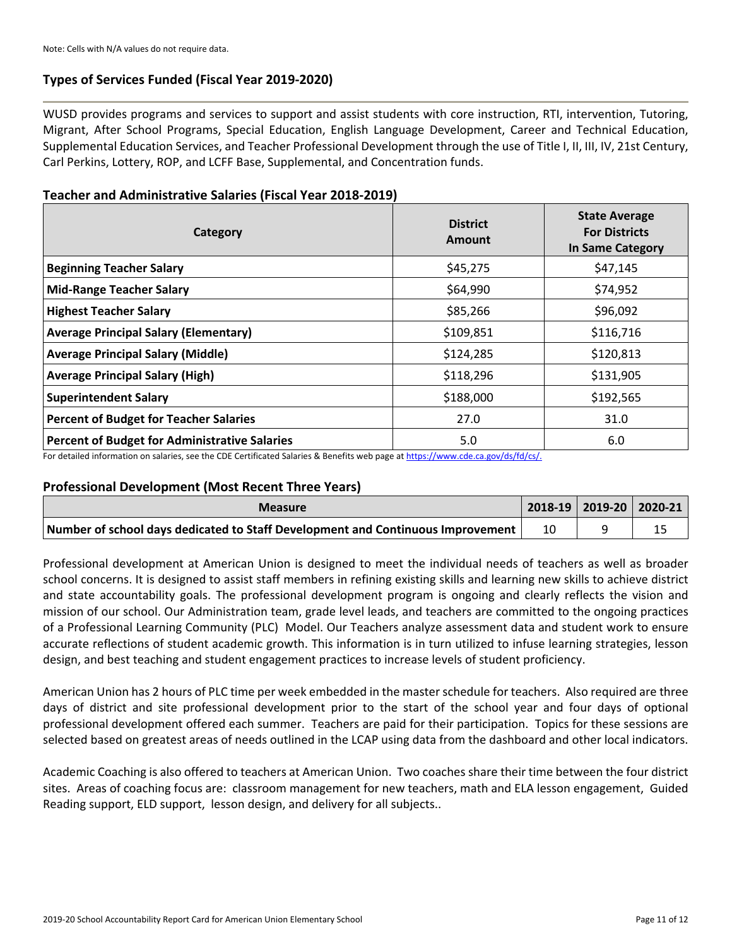## **Types of Services Funded (Fiscal Year 2019-2020)**

WUSD provides programs and services to support and assist students with core instruction, RTI, intervention, Tutoring, Migrant, After School Programs, Special Education, English Language Development, Career and Technical Education, Supplemental Education Services, and Teacher Professional Development through the use of Title I, II, III, IV, 21st Century, Carl Perkins, Lottery, ROP, and LCFF Base, Supplemental, and Concentration funds.

#### **Teacher and Administrative Salaries (Fiscal Year 2018-2019)**

| Category                                      | <b>District</b><br>Amount | <b>State Average</b><br><b>For Districts</b><br><b>In Same Category</b> |
|-----------------------------------------------|---------------------------|-------------------------------------------------------------------------|
| <b>Beginning Teacher Salary</b>               | \$45,275                  | \$47,145                                                                |
| <b>Mid-Range Teacher Salary</b>               | \$64,990                  | \$74,952                                                                |
| <b>Highest Teacher Salary</b>                 | \$85,266                  | \$96,092                                                                |
| <b>Average Principal Salary (Elementary)</b>  | \$109,851                 | \$116,716                                                               |
| <b>Average Principal Salary (Middle)</b>      | \$124,285                 | \$120,813                                                               |
| <b>Average Principal Salary (High)</b>        | \$118,296                 | \$131,905                                                               |
| <b>Superintendent Salary</b>                  | \$188,000                 | \$192,565                                                               |
| <b>Percent of Budget for Teacher Salaries</b> | 27.0                      | 31.0                                                                    |
| Percent of Budget for Administrative Salaries | 5.0                       | 6.0                                                                     |

For detailed information on salaries, see the CDE Certificated Salaries & Benefits web page at [https://www.cde.ca.gov/ds/fd/cs/.](https://www.cde.ca.gov/ds/fd/cs/)

#### **Professional Development (Most Recent Three Years)**

| <b>Measure</b>                                                                  |  | 2018-19   2019-20   2020-21 |
|---------------------------------------------------------------------------------|--|-----------------------------|
| Number of school days dedicated to Staff Development and Continuous Improvement |  |                             |

Professional development at American Union is designed to meet the individual needs of teachers as well as broader school concerns. It is designed to assist staff members in refining existing skills and learning new skills to achieve district and state accountability goals. The professional development program is ongoing and clearly reflects the vision and mission of our school. Our Administration team, grade level leads, and teachers are committed to the ongoing practices of a Professional Learning Community (PLC) Model. Our Teachers analyze assessment data and student work to ensure accurate reflections of student academic growth. This information is in turn utilized to infuse learning strategies, lesson design, and best teaching and student engagement practices to increase levels of student proficiency.

American Union has 2 hours of PLC time per week embedded in the master schedule for teachers. Also required are three days of district and site professional development prior to the start of the school year and four days of optional professional development offered each summer. Teachers are paid for their participation. Topics for these sessions are selected based on greatest areas of needs outlined in the LCAP using data from the dashboard and other local indicators.

Academic Coaching is also offered to teachers at American Union. Two coaches share their time between the four district sites. Areas of coaching focus are: classroom management for new teachers, math and ELA lesson engagement, Guided Reading support, ELD support, lesson design, and delivery for all subjects..